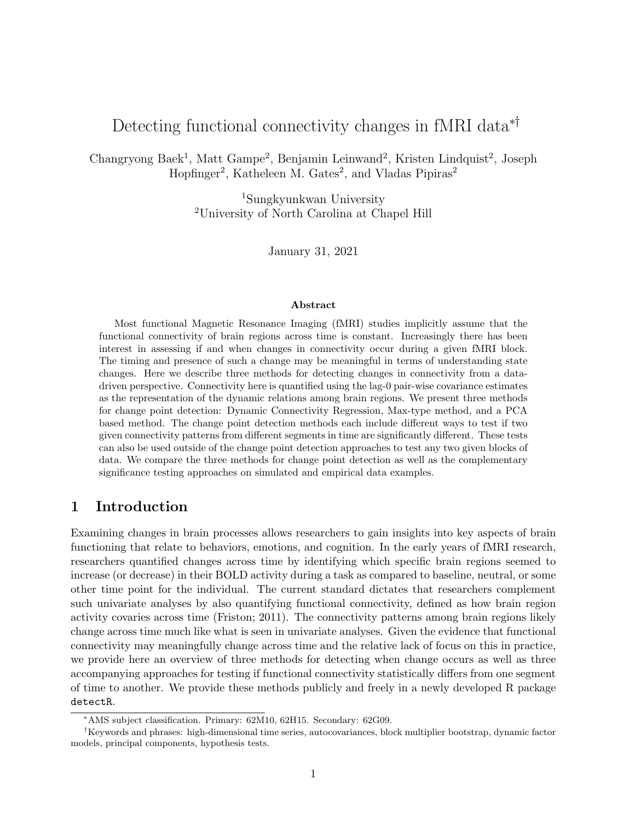# Detecting functional connectivity changes in fMRI data<sup>∗†</sup>

Changryong Baek<sup>1</sup>, Matt Gampe<sup>2</sup>, Benjamin Leinwand<sup>2</sup>, Kristen Lindquist<sup>2</sup>, Joseph Hopfinger<sup>2</sup>, Katheleen M. Gates<sup>2</sup>, and Vladas Pipiras<sup>2</sup>

> <sup>1</sup>Sungkyunkwan University <sup>2</sup>University of North Carolina at Chapel Hill

> > January 31, 2021

#### Abstract

Most functional Magnetic Resonance Imaging (fMRI) studies implicitly assume that the functional connectivity of brain regions across time is constant. Increasingly there has been interest in assessing if and when changes in connectivity occur during a given fMRI block. The timing and presence of such a change may be meaningful in terms of understanding state changes. Here we describe three methods for detecting changes in connectivity from a datadriven perspective. Connectivity here is quantified using the lag-0 pair-wise covariance estimates as the representation of the dynamic relations among brain regions. We present three methods for change point detection: Dynamic Connectivity Regression, Max-type method, and a PCA based method. The change point detection methods each include different ways to test if two given connectivity patterns from different segments in time are significantly different. These tests can also be used outside of the change point detection approaches to test any two given blocks of data. We compare the three methods for change point detection as well as the complementary significance testing approaches on simulated and empirical data examples.

# 1 Introduction

Examining changes in brain processes allows researchers to gain insights into key aspects of brain functioning that relate to behaviors, emotions, and cognition. In the early years of fMRI research, researchers quantified changes across time by identifying which specific brain regions seemed to increase (or decrease) in their BOLD activity during a task as compared to baseline, neutral, or some other time point for the individual. The current standard dictates that researchers complement such univariate analyses by also quantifying functional connectivity, defined as how brain region activity covaries across time (Friston; 2011). The connectivity patterns among brain regions likely change across time much like what is seen in univariate analyses. Given the evidence that functional connectivity may meaningfully change across time and the relative lack of focus on this in practice, we provide here an overview of three methods for detecting when change occurs as well as three accompanying approaches for testing if functional connectivity statistically differs from one segment of time to another. We provide these methods publicly and freely in a newly developed R package detectR.

<sup>∗</sup>AMS subject classification. Primary: 62M10, 62H15. Secondary: 62G09.

<sup>†</sup>Keywords and phrases: high-dimensional time series, autocovariances, block multiplier bootstrap, dynamic factor models, principal components, hypothesis tests.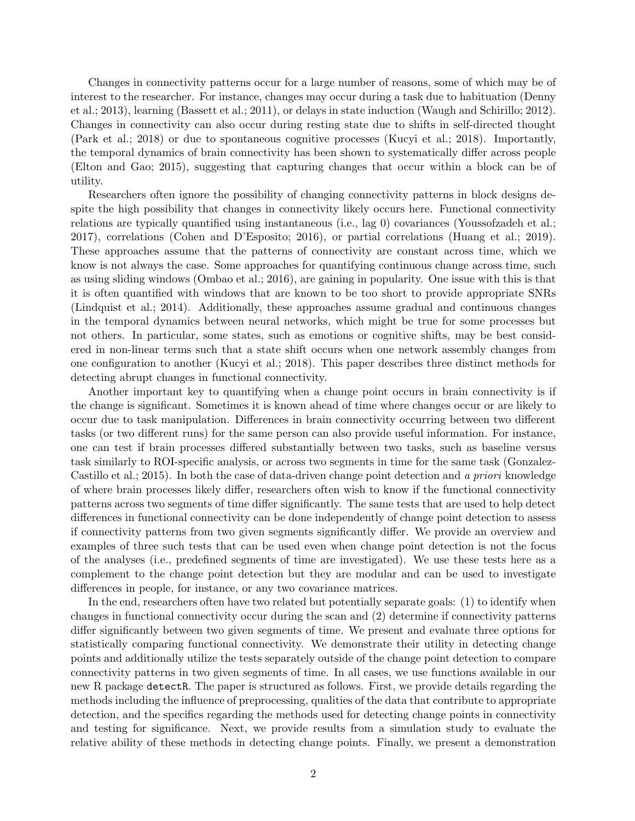Changes in connectivity patterns occur for a large number of reasons, some of which may be of interest to the researcher. For instance, changes may occur during a task due to habituation (Denny et al.; 2013), learning (Bassett et al.; 2011), or delays in state induction (Waugh and Schirillo; 2012). Changes in connectivity can also occur during resting state due to shifts in self-directed thought (Park et al.; 2018) or due to spontaneous cognitive processes (Kucyi et al.; 2018). Importantly, the temporal dynamics of brain connectivity has been shown to systematically differ across people (Elton and Gao; 2015), suggesting that capturing changes that occur within a block can be of utility.

Researchers often ignore the possibility of changing connectivity patterns in block designs despite the high possibility that changes in connectivity likely occurs here. Functional connectivity relations are typically quantified using instantaneous (i.e., lag 0) covariances (Youssofzadeh et al.; 2017), correlations (Cohen and D'Esposito; 2016), or partial correlations (Huang et al.; 2019). These approaches assume that the patterns of connectivity are constant across time, which we know is not always the case. Some approaches for quantifying continuous change across time, such as using sliding windows (Ombao et al.; 2016), are gaining in popularity. One issue with this is that it is often quantified with windows that are known to be too short to provide appropriate SNRs (Lindquist et al.; 2014). Additionally, these approaches assume gradual and continuous changes in the temporal dynamics between neural networks, which might be true for some processes but not others. In particular, some states, such as emotions or cognitive shifts, may be best considered in non-linear terms such that a state shift occurs when one network assembly changes from one configuration to another (Kucyi et al.; 2018). This paper describes three distinct methods for detecting abrupt changes in functional connectivity.

Another important key to quantifying when a change point occurs in brain connectivity is if the change is significant. Sometimes it is known ahead of time where changes occur or are likely to occur due to task manipulation. Differences in brain connectivity occurring between two different tasks (or two different runs) for the same person can also provide useful information. For instance, one can test if brain processes differed substantially between two tasks, such as baseline versus task similarly to ROI-specific analysis, or across two segments in time for the same task (Gonzalez-Castillo et al.; 2015). In both the case of data-driven change point detection and a priori knowledge of where brain processes likely differ, researchers often wish to know if the functional connectivity patterns across two segments of time differ significantly. The same tests that are used to help detect differences in functional connectivity can be done independently of change point detection to assess if connectivity patterns from two given segments significantly differ. We provide an overview and examples of three such tests that can be used even when change point detection is not the focus of the analyses (i.e., predefined segments of time are investigated). We use these tests here as a complement to the change point detection but they are modular and can be used to investigate differences in people, for instance, or any two covariance matrices.

In the end, researchers often have two related but potentially separate goals: (1) to identify when changes in functional connectivity occur during the scan and (2) determine if connectivity patterns differ significantly between two given segments of time. We present and evaluate three options for statistically comparing functional connectivity. We demonstrate their utility in detecting change points and additionally utilize the tests separately outside of the change point detection to compare connectivity patterns in two given segments of time. In all cases, we use functions available in our new R package detectR. The paper is structured as follows. First, we provide details regarding the methods including the influence of preprocessing, qualities of the data that contribute to appropriate detection, and the specifics regarding the methods used for detecting change points in connectivity and testing for significance. Next, we provide results from a simulation study to evaluate the relative ability of these methods in detecting change points. Finally, we present a demonstration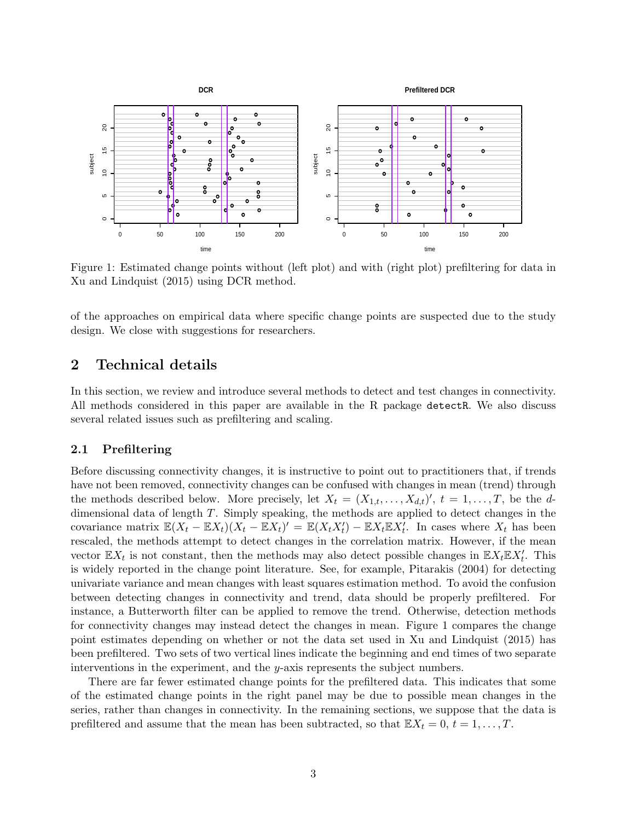

Figure 1: Estimated change points without (left plot) and with (right plot) prefiltering for data in Xu and Lindquist (2015) using DCR method.

of the approaches on empirical data where specific change points are suspected due to the study design. We close with suggestions for researchers.

## 2 Technical details

In this section, we review and introduce several methods to detect and test changes in connectivity. All methods considered in this paper are available in the R package detectR. We also discuss several related issues such as prefiltering and scaling.

## 2.1 Prefiltering

Before discussing connectivity changes, it is instructive to point out to practitioners that, if trends have not been removed, connectivity changes can be confused with changes in mean (trend) through the methods described below. More precisely, let  $X_t = (X_{1,t}, \ldots, X_{d,t})'$ ,  $t = 1, \ldots, T$ , be the ddimensional data of length T. Simply speaking, the methods are applied to detect changes in the covariance matrix  $\mathbb{E}(X_t - \mathbb{E}X_t)(X_t - \mathbb{E}X_t)' = \mathbb{E}(X_t X_t') - \mathbb{E}X_t \mathbb{E}X_t'$ . In cases where  $X_t$  has been rescaled, the methods attempt to detect changes in the correlation matrix. However, if the mean vector  $\mathbb{E}X_t$  is not constant, then the methods may also detect possible changes in  $\mathbb{E}X_t\mathbb{E}X'_t$ . This is widely reported in the change point literature. See, for example, Pitarakis (2004) for detecting univariate variance and mean changes with least squares estimation method. To avoid the confusion between detecting changes in connectivity and trend, data should be properly prefiltered. For instance, a Butterworth filter can be applied to remove the trend. Otherwise, detection methods for connectivity changes may instead detect the changes in mean. Figure 1 compares the change point estimates depending on whether or not the data set used in Xu and Lindquist (2015) has been prefiltered. Two sets of two vertical lines indicate the beginning and end times of two separate interventions in the experiment, and the y-axis represents the subject numbers.

There are far fewer estimated change points for the prefiltered data. This indicates that some of the estimated change points in the right panel may be due to possible mean changes in the series, rather than changes in connectivity. In the remaining sections, we suppose that the data is prefiltered and assume that the mean has been subtracted, so that  $\mathbb{E}X_t = 0, t = 1, \ldots, T$ .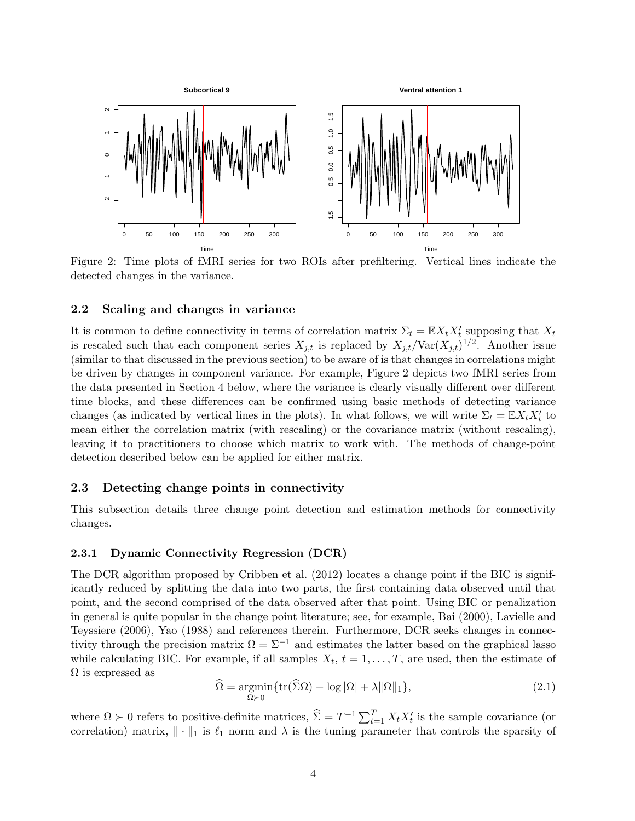

Figure 2: Time plots of fMRI series for two ROIs after prefiltering. Vertical lines indicate the detected changes in the variance.

#### 2.2 Scaling and changes in variance

It is common to define connectivity in terms of correlation matrix  $\Sigma_t = \mathbb{E} X_t X_t$  supposing that  $X_t$ is rescaled such that each component series  $X_{j,t}$  is replaced by  $X_{j,t}/\text{Var}(X_{j,t})^{1/2}$ . Another issue (similar to that discussed in the previous section) to be aware of is that changes in correlations might be driven by changes in component variance. For example, Figure 2 depicts two fMRI series from the data presented in Section 4 below, where the variance is clearly visually different over different time blocks, and these differences can be confirmed using basic methods of detecting variance changes (as indicated by vertical lines in the plots). In what follows, we will write  $\Sigma_t = \mathbb{E} X_t X_t'$  to mean either the correlation matrix (with rescaling) or the covariance matrix (without rescaling), leaving it to practitioners to choose which matrix to work with. The methods of change-point detection described below can be applied for either matrix.

### 2.3 Detecting change points in connectivity

This subsection details three change point detection and estimation methods for connectivity changes.

### 2.3.1 Dynamic Connectivity Regression (DCR)

The DCR algorithm proposed by Cribben et al. (2012) locates a change point if the BIC is significantly reduced by splitting the data into two parts, the first containing data observed until that point, and the second comprised of the data observed after that point. Using BIC or penalization in general is quite popular in the change point literature; see, for example, Bai (2000), Lavielle and Teyssiere (2006), Yao (1988) and references therein. Furthermore, DCR seeks changes in connectivity through the precision matrix  $\Omega = \Sigma^{-1}$  and estimates the latter based on the graphical lasso while calculating BIC. For example, if all samples  $X_t$ ,  $t = 1, \ldots, T$ , are used, then the estimate of  $\Omega$  is expressed as

$$
\widehat{\Omega} = \underset{\Omega \succ 0}{\operatorname{argmin}} \{ \operatorname{tr}(\widehat{\Sigma}\Omega) - \log |\Omega| + \lambda ||\Omega||_1 \},\tag{2.1}
$$

where  $\Omega \succ 0$  refers to positive-definite matrices,  $\hat{\Sigma} = T^{-1} \sum_{t=1}^{T} X_t X_t'$  is the sample covariance (or correlation) matrix,  $\|\cdot\|_1$  is  $\ell_1$  norm and  $\lambda$  is the tuning parameter that controls the sparsity of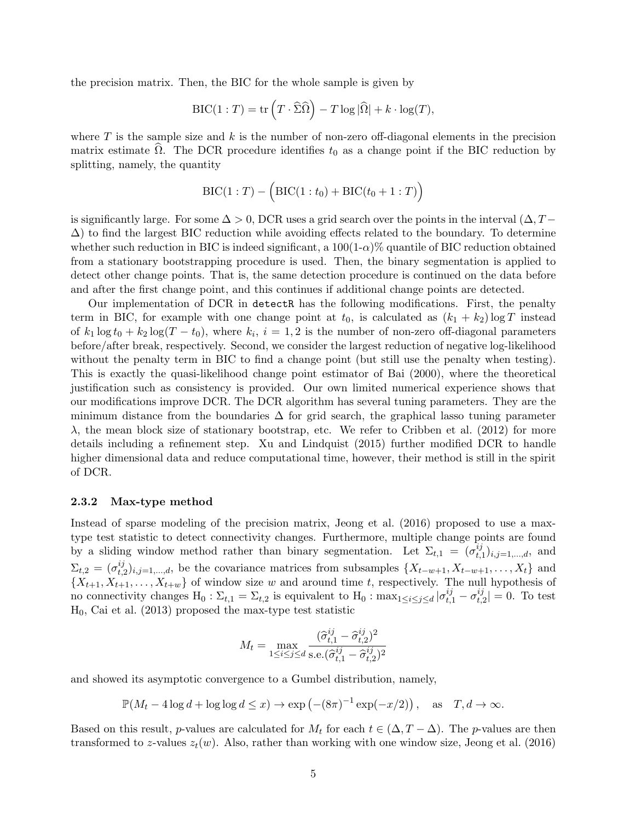the precision matrix. Then, the BIC for the whole sample is given by

$$
\text{BIC}(1:T) = \text{tr}\left(T \cdot \widehat{\Sigma}\widehat{\Omega}\right) - T \log|\widehat{\Omega}| + k \cdot \log(T),
$$

where  $T$  is the sample size and  $k$  is the number of non-zero off-diagonal elements in the precision matrix estimate  $\Omega$ . The DCR procedure identifies  $t_0$  as a change point if the BIC reduction by splitting, namely, the quantity

$$
BIC(1:T) - (BIC(1:t_0) + BIC(t_0 + 1:T))
$$

is significantly large. For some  $\Delta > 0$ , DCR uses a grid search over the points in the interval  $(\Delta, T \Delta$ ) to find the largest BIC reduction while avoiding effects related to the boundary. To determine whether such reduction in BIC is indeed significant, a  $100(1-\alpha)\%$  quantile of BIC reduction obtained from a stationary bootstrapping procedure is used. Then, the binary segmentation is applied to detect other change points. That is, the same detection procedure is continued on the data before and after the first change point, and this continues if additional change points are detected.

Our implementation of DCR in detectR has the following modifications. First, the penalty term in BIC, for example with one change point at  $t_0$ , is calculated as  $(k_1 + k_2) \log T$  instead of  $k_1 \log t_0 + k_2 \log(T - t_0)$ , where  $k_i$ ,  $i = 1, 2$  is the number of non-zero off-diagonal parameters before/after break, respectively. Second, we consider the largest reduction of negative log-likelihood without the penalty term in BIC to find a change point (but still use the penalty when testing). This is exactly the quasi-likelihood change point estimator of Bai (2000), where the theoretical justification such as consistency is provided. Our own limited numerical experience shows that our modifications improve DCR. The DCR algorithm has several tuning parameters. They are the minimum distance from the boundaries  $\Delta$  for grid search, the graphical lasso tuning parameter  $\lambda$ , the mean block size of stationary bootstrap, etc. We refer to Cribben et al. (2012) for more details including a refinement step. Xu and Lindquist (2015) further modified DCR to handle higher dimensional data and reduce computational time, however, their method is still in the spirit of DCR.

#### 2.3.2 Max-type method

Instead of sparse modeling of the precision matrix, Jeong et al. (2016) proposed to use a maxtype test statistic to detect connectivity changes. Furthermore, multiple change points are found by a sliding window method rather than binary segmentation. Let  $\Sigma_{t,1} = (\sigma_t^{ij})$  $_{t,1}^{ij})_{i,j=1,...,d},$  and  $\Sigma_{t,2} = (\sigma_{t,1}^{ij})$  $_{t,2}^{ij}$ <sub>i,j=1,...,d</sub>, be the covariance matrices from subsamples  $\{X_{t-w+1}, X_{t-w+1}, \ldots, X_t\}$  and  $\{X_{t+1}, X_{t+1}, \ldots, X_{t+w}\}\$  of window size w and around time t, respectively. The null hypothesis of no connectivity changes  $H_0: \Sigma_{t,1} = \Sigma_{t,2}$  is equivalent to  $H_0: \max_{1 \leq i \leq j \leq d} |\sigma_{t,1}^{ij} - \sigma_{t,i}^{ij}|$  $|t_{t,2}^{ij}| = 0$ . To test  $H_0$ , Cai et al. (2013) proposed the max-type test statistic

$$
M_t = \max_{1 \le i \le j \le d} \frac{(\hat{\sigma}_{t,1}^{ij} - \hat{\sigma}_{t,2}^{ij})^2}{\text{s.e.}(\hat{\sigma}_{t,1}^{ij} - \hat{\sigma}_{t,2}^{ij})^2}
$$

and showed its asymptotic convergence to a Gumbel distribution, namely,

$$
\mathbb{P}(M_t - 4\log d + \log \log d \le x) \to \exp\left(-(8\pi)^{-1}\exp(-x/2)\right), \text{ as } T, d \to \infty.
$$

Based on this result, p-values are calculated for  $M_t$  for each  $t \in (\Delta, T - \Delta)$ . The p-values are then transformed to z-values  $z_t(w)$ . Also, rather than working with one window size, Jeong et al. (2016)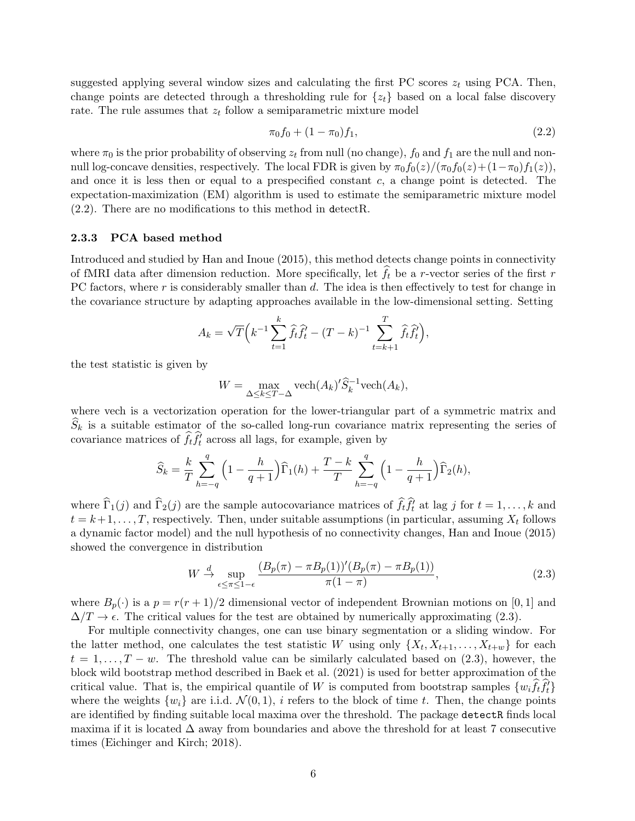suggested applying several window sizes and calculating the first PC scores  $z_t$  using PCA. Then, change points are detected through a thresholding rule for  $\{z_t\}$  based on a local false discovery rate. The rule assumes that  $z_t$  follow a semiparametric mixture model

$$
\pi_0 f_0 + (1 - \pi_0) f_1,\tag{2.2}
$$

where  $\pi_0$  is the prior probability of observing  $z_t$  from null (no change),  $f_0$  and  $f_1$  are the null and nonnull log-concave densities, respectively. The local FDR is given by  $\pi_0 f_0(z)/(\pi_0 f_0(z)+(1-\pi_0)f_1(z)),$ and once it is less then or equal to a prespecified constant  $c$ , a change point is detected. The expectation-maximization (EM) algorithm is used to estimate the semiparametric mixture model (2.2). There are no modifications to this method in detectR.

#### 2.3.3 PCA based method

Introduced and studied by Han and Inoue (2015), this method detects change points in connectivity of fMRI data after dimension reduction. More specifically, let  $\hat{f}_t$  be a r-vector series of the first r PC factors, where r is considerably smaller than d. The idea is then effectively to test for change in the covariance structure by adapting approaches available in the low-dimensional setting. Setting

$$
A_k = \sqrt{T} \left( k^{-1} \sum_{t=1}^k \hat{f}_t \hat{f}_t^T - (T - k)^{-1} \sum_{t=k+1}^T \hat{f}_t \hat{f}_t^T \right),
$$

the test statistic is given by

$$
W = \max_{\Delta \le k \le T - \Delta} \text{vech}(A_k)' \widehat{S}_k^{-1} \text{vech}(A_k),
$$

where vech is a vectorization operation for the lower-triangular part of a symmetric matrix and  $\widehat{S}_k$  is a suitable estimator of the so-called long-run covariance matrix representing the series of covariance matrices of  $\hat{f}_t \hat{f}_t^{\prime}$  across all lags, for example, given by

$$
\widehat{S}_k = \frac{k}{T} \sum_{h=-q}^q \left(1 - \frac{h}{q+1}\right) \widehat{\Gamma}_1(h) + \frac{T-k}{T} \sum_{h=-q}^q \left(1 - \frac{h}{q+1}\right) \widehat{\Gamma}_2(h),
$$

where  $\widehat{\Gamma}_1(j)$  and  $\widehat{\Gamma}_2(j)$  are the sample autocovariance matrices of  $\widehat{f}_t \widehat{f}_t^j$  at lag j for  $t = 1, \ldots, k$  and  $t = k+1, \ldots, T$ , respectively. Then, under suitable assumptions (in particular, assuming  $X_t$  follows a dynamic factor model) and the null hypothesis of no connectivity changes, Han and Inoue (2015) showed the convergence in distribution

$$
W \stackrel{d}{\rightarrow} \sup_{\epsilon \le \pi \le 1-\epsilon} \frac{(B_p(\pi) - \pi B_p(1))'(B_p(\pi) - \pi B_p(1))}{\pi(1-\pi)},
$$
\n(2.3)

where  $B_p(\cdot)$  is a  $p = r(r+1)/2$  dimensional vector of independent Brownian motions on [0, 1] and  $\Delta/T \to \epsilon$ . The critical values for the test are obtained by numerically approximating (2.3).

For multiple connectivity changes, one can use binary segmentation or a sliding window. For the latter method, one calculates the test statistic W using only  $\{X_t, X_{t+1}, \ldots, X_{t+w}\}\)$  for each  $t = 1, \ldots, T - w$ . The threshold value can be similarly calculated based on (2.3), however, the block wild bootstrap method described in Baek et al. (2021) is used for better approximation of the critical value. That is, the empirical quantile of W is computed from bootstrap samples  $\{w_i \hat{f}_t \hat{f}_t\}$ where the weights  $\{w_i\}$  are i.i.d.  $\mathcal{N}(0,1)$ , i refers to the block of time t. Then, the change points are identified by finding suitable local maxima over the threshold. The package detectR finds local maxima if it is located  $\Delta$  away from boundaries and above the threshold for at least 7 consecutive times (Eichinger and Kirch; 2018).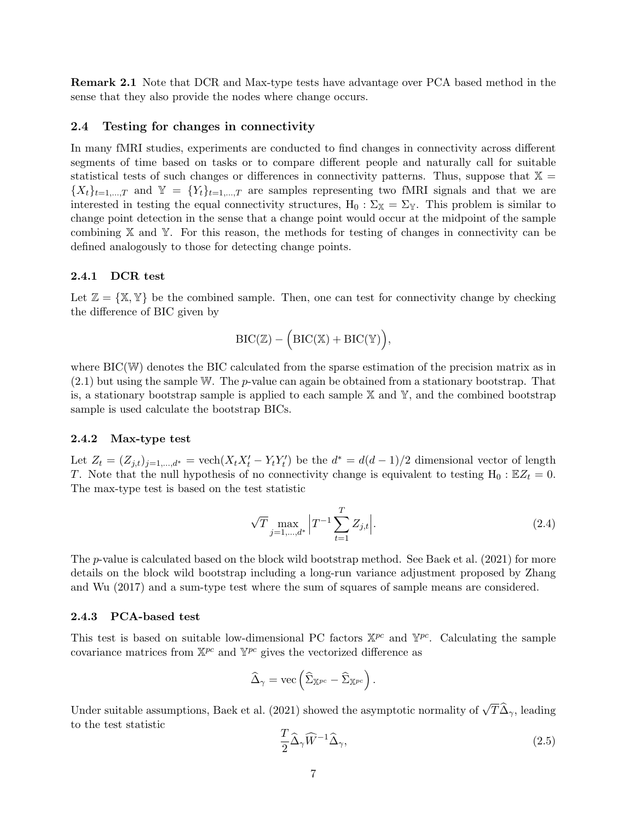Remark 2.1 Note that DCR and Max-type tests have advantage over PCA based method in the sense that they also provide the nodes where change occurs.

#### 2.4 Testing for changes in connectivity

In many fMRI studies, experiments are conducted to find changes in connectivity across different segments of time based on tasks or to compare different people and naturally call for suitable statistical tests of such changes or differences in connectivity patterns. Thus, suppose that  $X =$  ${X_t}_{t=1,\dots,T}$  and  $\mathbb{Y} = {Y_t}_{t=1,\dots,T}$  are samples representing two fMRI signals and that we are interested in testing the equal connectivity structures,  $H_0 : \Sigma_{\mathbb{X}} = \Sigma_{\mathbb{Y}}$ . This problem is similar to change point detection in the sense that a change point would occur at the midpoint of the sample combining X and Y. For this reason, the methods for testing of changes in connectivity can be defined analogously to those for detecting change points.

#### 2.4.1 DCR test

Let  $\mathbb{Z} = \{X, Y\}$  be the combined sample. Then, one can test for connectivity change by checking the difference of BIC given by

$$
\mathrm{BIC}(\mathbb{Z}) - \Big(\mathrm{BIC}(\mathbb{X}) + \mathrm{BIC}(\mathbb{Y})\Big),
$$

where BIC(W) denotes the BIC calculated from the sparse estimation of the precision matrix as in  $(2.1)$  but using the sample W. The *p*-value can again be obtained from a stationary bootstrap. That is, a stationary bootstrap sample is applied to each sample  $X$  and  $Y$ , and the combined bootstrap sample is used calculate the bootstrap BICs.

#### 2.4.2 Max-type test

Let  $Z_t = (Z_{j,t})_{j=1,\dots,d^*} = \text{vech}(X_t X_t' - Y_t Y_t')$  be the  $d^* = d(d-1)/2$  dimensional vector of length T. Note that the null hypothesis of no connectivity change is equivalent to testing  $H_0 : EZ_t = 0$ . The max-type test is based on the test statistic

$$
\sqrt{T} \max_{j=1,\dots,d^*} \left| T^{-1} \sum_{t=1}^T Z_{j,t} \right|.
$$
\n(2.4)

The p-value is calculated based on the block wild bootstrap method. See Baek et al. (2021) for more details on the block wild bootstrap including a long-run variance adjustment proposed by Zhang and Wu (2017) and a sum-type test where the sum of squares of sample means are considered.

#### 2.4.3 PCA-based test

This test is based on suitable low-dimensional PC factors  $X^{pc}$  and  $Y^{pc}$ . Calculating the sample covariance matrices from  $\mathbb{X}^{pc}$  and  $\mathbb{Y}^{pc}$  gives the vectorized difference as

$$
\widehat{\Delta}_{\gamma} = \text{vec}\left(\widehat{\Sigma}_{\mathbb{X}^{pc}} - \widehat{\Sigma}_{\mathbb{X}^{pc}}\right).
$$

Under suitable assumptions, Baek et al. (2021) showed the asymptotic normality of  $\sqrt{T}\hat{\Delta}_{\gamma}$ , leading to the test statistic

$$
\frac{T}{2}\widehat{\Delta}_{\gamma}\widehat{W}^{-1}\widehat{\Delta}_{\gamma},\tag{2.5}
$$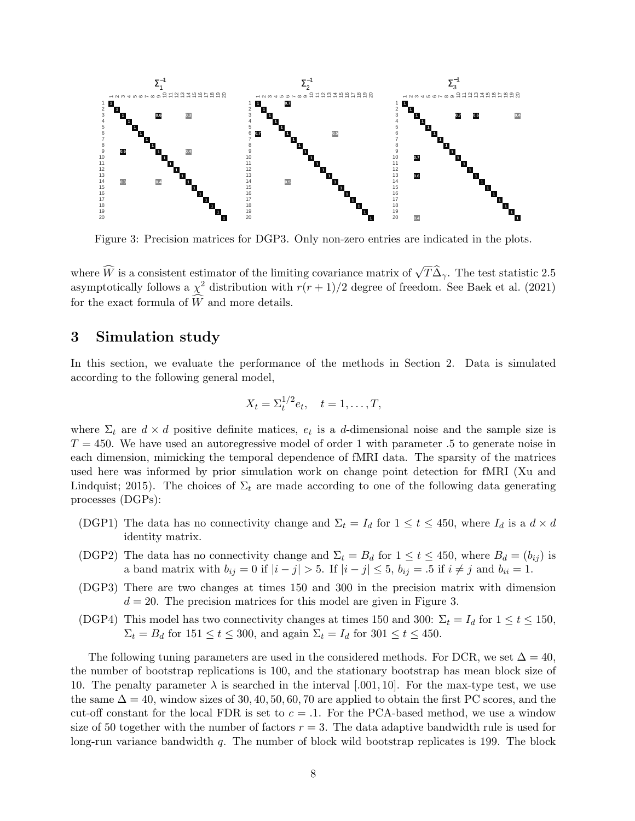

Figure 3: Precision matrices for DGP3. Only non-zero entries are indicated in the plots.

where  $\widehat{W}$  is a consistent estimator of the limiting covariance matrix of  $\sqrt{T}\widehat{\Delta}_{\gamma}$ . The test statistic 2.5 asymptotically follows a  $\chi^2$  distribution with  $r(r+1)/2$  degree of freedom. See Baek et al. (2021) for the exact formula of  $\widehat{W}$  and more details.

## 3 Simulation study

In this section, we evaluate the performance of the methods in Section 2. Data is simulated according to the following general model,

$$
X_t = \Sigma_t^{1/2} e_t, \quad t = 1, \dots, T,
$$

where  $\Sigma_t$  are  $d \times d$  positive definite matices,  $e_t$  is a d-dimensional noise and the sample size is  $T = 450$ . We have used an autoregressive model of order 1 with parameter .5 to generate noise in each dimension, mimicking the temporal dependence of fMRI data. The sparsity of the matrices used here was informed by prior simulation work on change point detection for fMRI (Xu and Lindquist; 2015). The choices of  $\Sigma_t$  are made according to one of the following data generating processes (DGPs):

- (DGP1) The data has no connectivity change and  $\Sigma_t = I_d$  for  $1 \le t \le 450$ , where  $I_d$  is a  $d \times d$ identity matrix.
- (DGP2) The data has no connectivity change and  $\Sigma_t = B_d$  for  $1 \le t \le 450$ , where  $B_d = (b_{ij})$  is a band matrix with  $b_{ij} = 0$  if  $|i - j| > 5$ . If  $|i - j| \leq 5$ ,  $b_{ij} = .5$  if  $i \neq j$  and  $b_{ii} = 1$ .
- (DGP3) There are two changes at times 150 and 300 in the precision matrix with dimension  $d = 20$ . The precision matrices for this model are given in Figure 3.
- (DGP4) This model has two connectivity changes at times 150 and 300:  $\Sigma_t = I_d$  for  $1 \le t \le 150$ ,  $\Sigma_t = B_d$  for  $151 \le t \le 300$ , and again  $\Sigma_t = I_d$  for  $301 \le t \le 450$ .

The following tuning parameters are used in the considered methods. For DCR, we set  $\Delta = 40$ , the number of bootstrap replications is 100, and the stationary bootstrap has mean block size of 10. The penalty parameter  $\lambda$  is searched in the interval [.001, 10]. For the max-type test, we use the same  $\Delta = 40$ , window sizes of 30, 40, 50, 60, 70 are applied to obtain the first PC scores, and the cut-off constant for the local FDR is set to  $c = .1$ . For the PCA-based method, we use a window size of 50 together with the number of factors  $r = 3$ . The data adaptive bandwidth rule is used for long-run variance bandwidth q. The number of block wild bootstrap replicates is 199. The block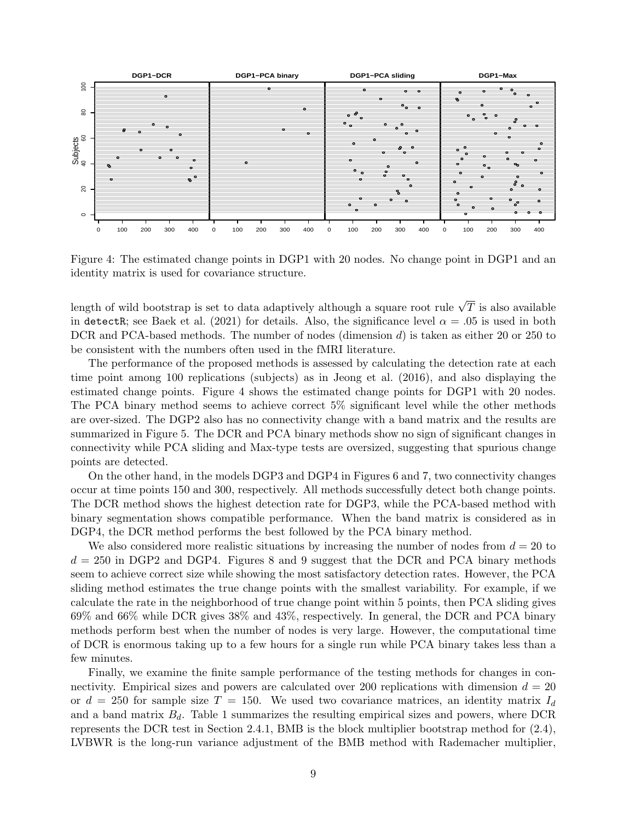

Figure 4: The estimated change points in DGP1 with 20 nodes. No change point in DGP1 and an identity matrix is used for covariance structure.

length of wild bootstrap is set to data adaptively although a square root rule  $\sqrt{T}$  is also available in detectR; see Baek et al. (2021) for details. Also, the significance level  $\alpha = .05$  is used in both DCR and PCA-based methods. The number of nodes (dimension d) is taken as either 20 or 250 to be consistent with the numbers often used in the fMRI literature.

The performance of the proposed methods is assessed by calculating the detection rate at each time point among 100 replications (subjects) as in Jeong et al. (2016), and also displaying the estimated change points. Figure 4 shows the estimated change points for DGP1 with 20 nodes. The PCA binary method seems to achieve correct 5% significant level while the other methods are over-sized. The DGP2 also has no connectivity change with a band matrix and the results are summarized in Figure 5. The DCR and PCA binary methods show no sign of significant changes in connectivity while PCA sliding and Max-type tests are oversized, suggesting that spurious change points are detected.

On the other hand, in the models DGP3 and DGP4 in Figures 6 and 7, two connectivity changes occur at time points 150 and 300, respectively. All methods successfully detect both change points. The DCR method shows the highest detection rate for DGP3, while the PCA-based method with binary segmentation shows compatible performance. When the band matrix is considered as in DGP4, the DCR method performs the best followed by the PCA binary method.

We also considered more realistic situations by increasing the number of nodes from  $d = 20$  to  $d = 250$  in DGP2 and DGP4. Figures 8 and 9 suggest that the DCR and PCA binary methods seem to achieve correct size while showing the most satisfactory detection rates. However, the PCA sliding method estimates the true change points with the smallest variability. For example, if we calculate the rate in the neighborhood of true change point within 5 points, then PCA sliding gives 69% and 66% while DCR gives 38% and 43%, respectively. In general, the DCR and PCA binary methods perform best when the number of nodes is very large. However, the computational time of DCR is enormous taking up to a few hours for a single run while PCA binary takes less than a few minutes.

Finally, we examine the finite sample performance of the testing methods for changes in connectivity. Empirical sizes and powers are calculated over 200 replications with dimension  $d = 20$ or  $d = 250$  for sample size  $T = 150$ . We used two covariance matrices, an identity matrix  $I_d$ and a band matrix  $B_d$ . Table 1 summarizes the resulting empirical sizes and powers, where DCR represents the DCR test in Section 2.4.1, BMB is the block multiplier bootstrap method for (2.4), LVBWR is the long-run variance adjustment of the BMB method with Rademacher multiplier,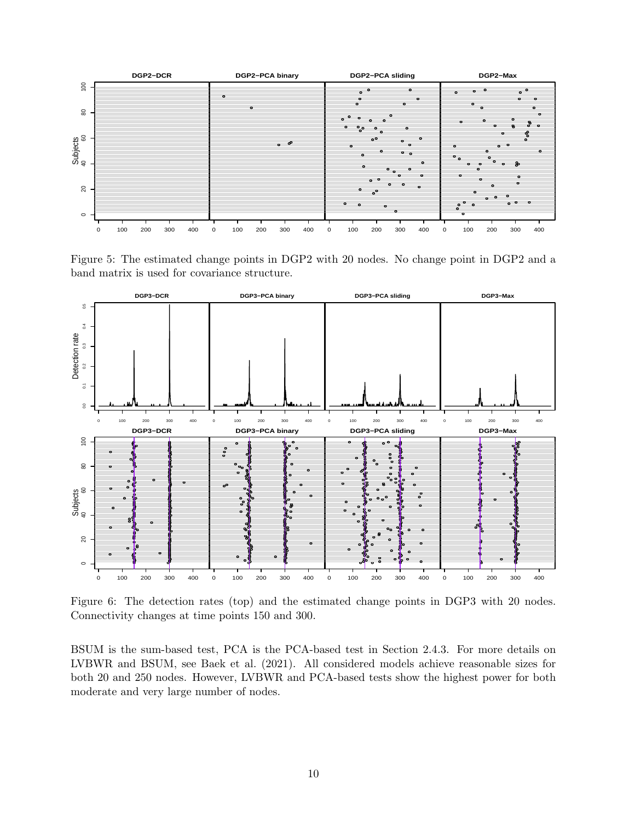

Figure 5: The estimated change points in DGP2 with 20 nodes. No change point in DGP2 and a band matrix is used for covariance structure.



Figure 6: The detection rates (top) and the estimated change points in DGP3 with 20 nodes. Connectivity changes at time points 150 and 300.

BSUM is the sum-based test, PCA is the PCA-based test in Section 2.4.3. For more details on LVBWR and BSUM, see Baek et al. (2021). All considered models achieve reasonable sizes for both 20 and 250 nodes. However, LVBWR and PCA-based tests show the highest power for both moderate and very large number of nodes.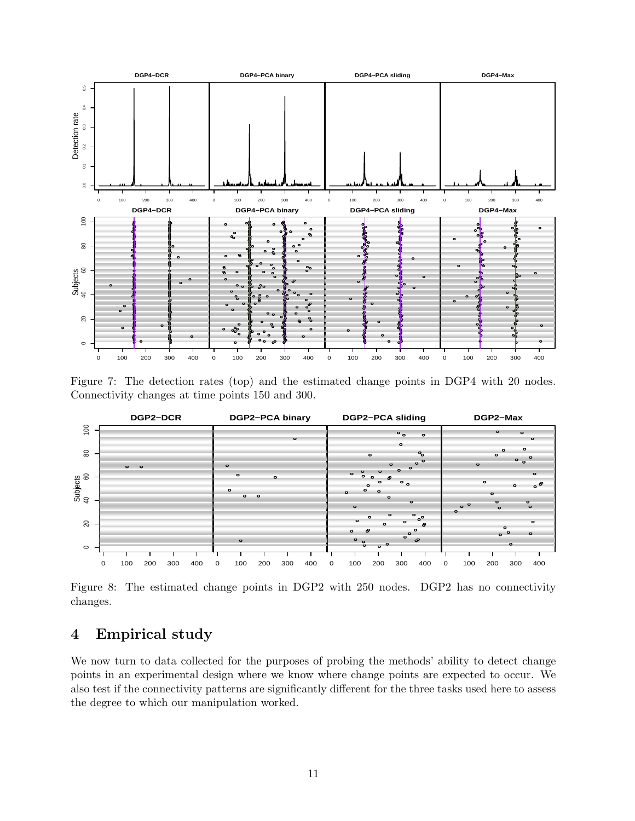

Figure 7: The detection rates (top) and the estimated change points in DGP4 with 20 nodes. Connectivity changes at time points 150 and 300.



Figure 8: The estimated change points in DGP2 with 250 nodes. DGP2 has no connectivity changes.

# 4 Empirical study

We now turn to data collected for the purposes of probing the methods' ability to detect change points in an experimental design where we know where change points are expected to occur. We also test if the connectivity patterns are significantly different for the three tasks used here to assess the degree to which our manipulation worked.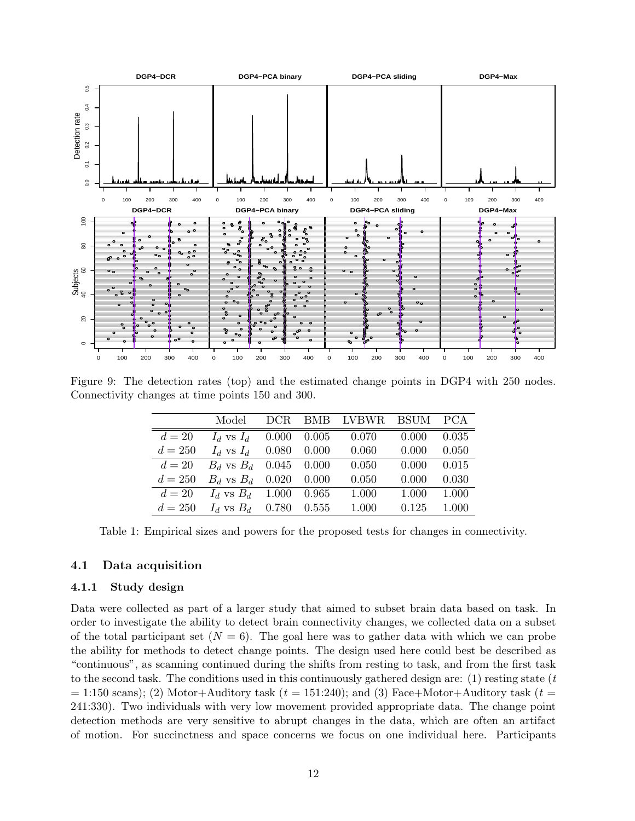

Figure 9: The detection rates (top) and the estimated change points in DGP4 with 250 nodes. Connectivity changes at time points 150 and 300.

|           | Model                      |       |                 | DCR BMB LVBWR BSUM PCA |       |       |
|-----------|----------------------------|-------|-----------------|------------------------|-------|-------|
| $d=20$    | $I_d$ vs $I_d$             | 0.000 | $0.005\,$       | 0.070                  | 0.000 | 0.035 |
| $d = 250$ | $I_d$ vs $I_d$             | 0.080 | $0.000\,$       | 0.060                  | 0.000 | 0.050 |
| $d=20$    | $B_d$ vs $B_d$ 0.045 0.000 |       |                 | 0.050                  | 0.000 | 0.015 |
| $d = 250$ | $B_d$ vs $B_d$ 0.020       |       | 0.000           | 0.050                  | 0.000 | 0.030 |
| $d=20$    | $I_d$ vs $B_d$ 1.000       |       | $\,0.965\,$     | 1.000                  | 1.000 | 1.000 |
| $d = 250$ | $I_d$ vs $B_d$             |       | $0.780$ $0.555$ | 1.000                  | 0.125 | 1.000 |

Table 1: Empirical sizes and powers for the proposed tests for changes in connectivity.

### 4.1 Data acquisition

#### 4.1.1 Study design

Data were collected as part of a larger study that aimed to subset brain data based on task. In order to investigate the ability to detect brain connectivity changes, we collected data on a subset of the total participant set  $(N = 6)$ . The goal here was to gather data with which we can probe the ability for methods to detect change points. The design used here could best be described as "continuous", as scanning continued during the shifts from resting to task, and from the first task to the second task. The conditions used in this continuously gathered design are:  $(1)$  resting state  $(t)$  $= 1:150$  scans); (2) Motor+Auditory task ( $t = 1:1:240$ ); and (3) Face+Motor+Auditory task ( $t =$ 241:330). Two individuals with very low movement provided appropriate data. The change point detection methods are very sensitive to abrupt changes in the data, which are often an artifact of motion. For succinctness and space concerns we focus on one individual here. Participants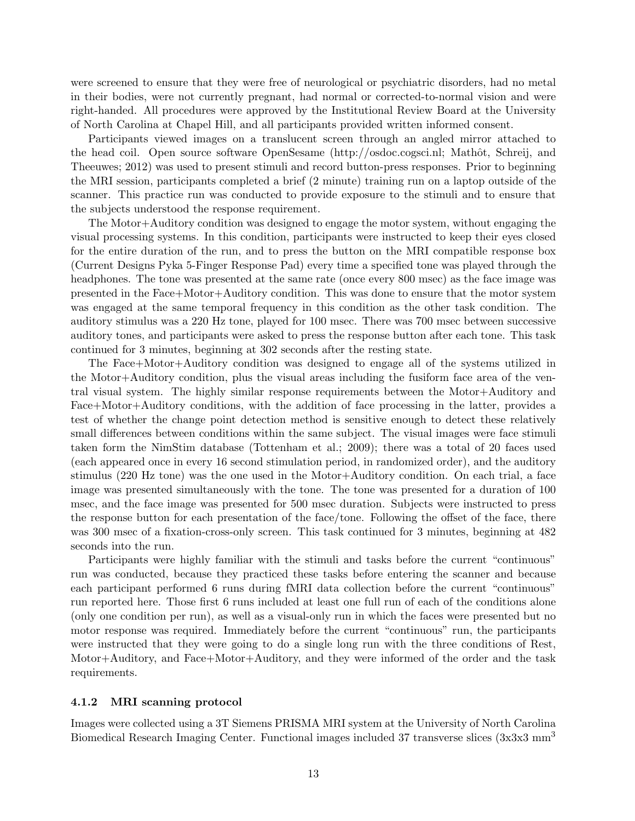were screened to ensure that they were free of neurological or psychiatric disorders, had no metal in their bodies, were not currently pregnant, had normal or corrected-to-normal vision and were right-handed. All procedures were approved by the Institutional Review Board at the University of North Carolina at Chapel Hill, and all participants provided written informed consent.

Participants viewed images on a translucent screen through an angled mirror attached to the head coil. Open source software OpenSesame (http://osdoc.cogsci.nl; Mathôt, Schreij, and Theeuwes; 2012) was used to present stimuli and record button-press responses. Prior to beginning the MRI session, participants completed a brief (2 minute) training run on a laptop outside of the scanner. This practice run was conducted to provide exposure to the stimuli and to ensure that the subjects understood the response requirement.

The Motor+Auditory condition was designed to engage the motor system, without engaging the visual processing systems. In this condition, participants were instructed to keep their eyes closed for the entire duration of the run, and to press the button on the MRI compatible response box (Current Designs Pyka 5-Finger Response Pad) every time a specified tone was played through the headphones. The tone was presented at the same rate (once every 800 msec) as the face image was presented in the Face+Motor+Auditory condition. This was done to ensure that the motor system was engaged at the same temporal frequency in this condition as the other task condition. The auditory stimulus was a 220 Hz tone, played for 100 msec. There was 700 msec between successive auditory tones, and participants were asked to press the response button after each tone. This task continued for 3 minutes, beginning at 302 seconds after the resting state.

The Face+Motor+Auditory condition was designed to engage all of the systems utilized in the Motor+Auditory condition, plus the visual areas including the fusiform face area of the ventral visual system. The highly similar response requirements between the Motor+Auditory and Face+Motor+Auditory conditions, with the addition of face processing in the latter, provides a test of whether the change point detection method is sensitive enough to detect these relatively small differences between conditions within the same subject. The visual images were face stimuli taken form the NimStim database (Tottenham et al.; 2009); there was a total of 20 faces used (each appeared once in every 16 second stimulation period, in randomized order), and the auditory stimulus (220 Hz tone) was the one used in the Motor+Auditory condition. On each trial, a face image was presented simultaneously with the tone. The tone was presented for a duration of 100 msec, and the face image was presented for 500 msec duration. Subjects were instructed to press the response button for each presentation of the face/tone. Following the offset of the face, there was 300 msec of a fixation-cross-only screen. This task continued for 3 minutes, beginning at 482 seconds into the run.

Participants were highly familiar with the stimuli and tasks before the current "continuous" run was conducted, because they practiced these tasks before entering the scanner and because each participant performed 6 runs during fMRI data collection before the current "continuous" run reported here. Those first 6 runs included at least one full run of each of the conditions alone (only one condition per run), as well as a visual-only run in which the faces were presented but no motor response was required. Immediately before the current "continuous" run, the participants were instructed that they were going to do a single long run with the three conditions of Rest, Motor+Auditory, and Face+Motor+Auditory, and they were informed of the order and the task requirements.

#### 4.1.2 MRI scanning protocol

Images were collected using a 3T Siemens PRISMA MRI system at the University of North Carolina Biomedical Research Imaging Center. Functional images included 37 transverse slices (3x3x3 mm<sup>3</sup>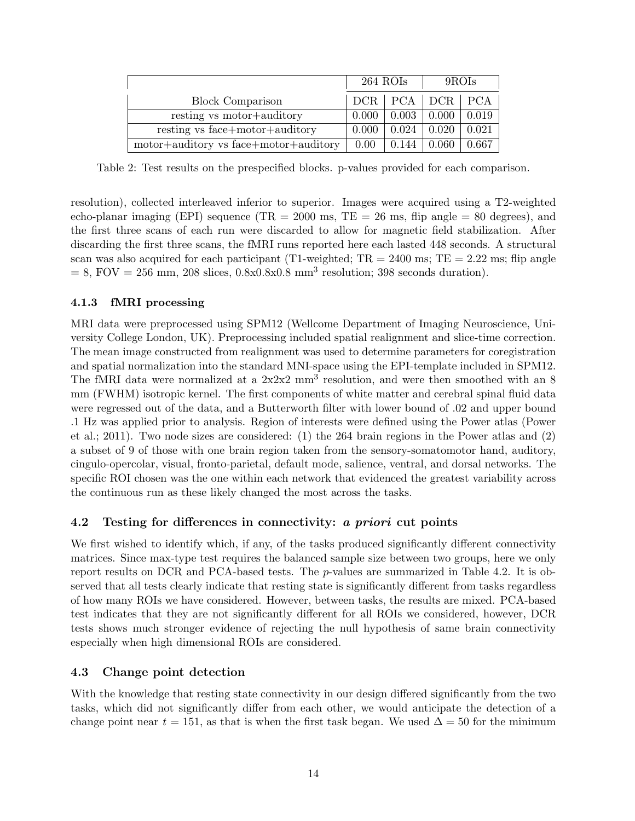|                                       | 264 ROIs |       | 9ROIs                         |       |
|---------------------------------------|----------|-------|-------------------------------|-------|
| <b>Block Comparison</b>               |          |       | $DCR$   $PCA$   $DCR$   $PCA$ |       |
| resting vs motor+auditory             | 0.000    | 0.003 | 0.000                         | 0.019 |
| resting vs face+motor+auditory        | 0.000    | 0.024 | 0.020                         | 0.021 |
| motor+auditory vs face+motor+auditory | 0.00     | 0.144 | 0.060                         | 0.667 |

Table 2: Test results on the prespecified blocks. p-values provided for each comparison.

resolution), collected interleaved inferior to superior. Images were acquired using a T2-weighted echo-planar imaging (EPI) sequence (TR = 2000 ms, TE = 26 ms, flip angle = 80 degrees), and the first three scans of each run were discarded to allow for magnetic field stabilization. After discarding the first three scans, the fMRI runs reported here each lasted 448 seconds. A structural scan was also acquired for each participant (T1-weighted;  $TR = 2400$  ms;  $TE = 2.22$  ms; flip angle  $= 8$ , FOV  $= 256$  mm, 208 slices, 0.8x0.8x0.8 mm<sup>3</sup> resolution; 398 seconds duration).

### 4.1.3 fMRI processing

MRI data were preprocessed using SPM12 (Wellcome Department of Imaging Neuroscience, University College London, UK). Preprocessing included spatial realignment and slice-time correction. The mean image constructed from realignment was used to determine parameters for coregistration and spatial normalization into the standard MNI-space using the EPI-template included in SPM12. The fMRI data were normalized at a  $2x2x2$  mm<sup>3</sup> resolution, and were then smoothed with an 8 mm (FWHM) isotropic kernel. The first components of white matter and cerebral spinal fluid data were regressed out of the data, and a Butterworth filter with lower bound of .02 and upper bound .1 Hz was applied prior to analysis. Region of interests were defined using the Power atlas (Power et al.; 2011). Two node sizes are considered: (1) the 264 brain regions in the Power atlas and (2) a subset of 9 of those with one brain region taken from the sensory-somatomotor hand, auditory, cingulo-opercolar, visual, fronto-parietal, default mode, salience, ventral, and dorsal networks. The specific ROI chosen was the one within each network that evidenced the greatest variability across the continuous run as these likely changed the most across the tasks.

## 4.2 Testing for differences in connectivity: a priori cut points

We first wished to identify which, if any, of the tasks produced significantly different connectivity matrices. Since max-type test requires the balanced sample size between two groups, here we only report results on DCR and PCA-based tests. The p-values are summarized in Table 4.2. It is observed that all tests clearly indicate that resting state is significantly different from tasks regardless of how many ROIs we have considered. However, between tasks, the results are mixed. PCA-based test indicates that they are not significantly different for all ROIs we considered, however, DCR tests shows much stronger evidence of rejecting the null hypothesis of same brain connectivity especially when high dimensional ROIs are considered.

## 4.3 Change point detection

With the knowledge that resting state connectivity in our design differed significantly from the two tasks, which did not significantly differ from each other, we would anticipate the detection of a change point near  $t = 151$ , as that is when the first task began. We used  $\Delta = 50$  for the minimum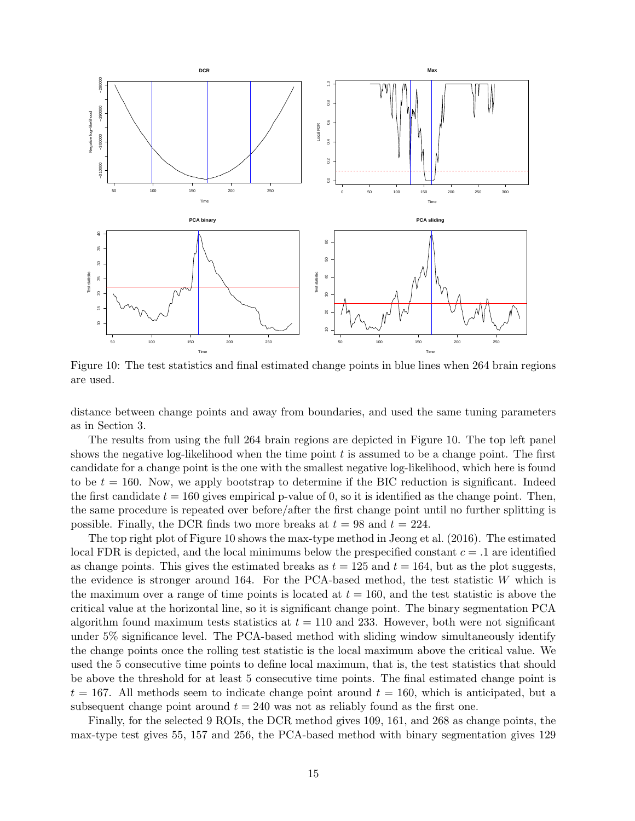

Figure 10: The test statistics and final estimated change points in blue lines when 264 brain regions are used.

distance between change points and away from boundaries, and used the same tuning parameters as in Section 3.

The results from using the full 264 brain regions are depicted in Figure 10. The top left panel shows the negative log-likelihood when the time point  $t$  is assumed to be a change point. The first candidate for a change point is the one with the smallest negative log-likelihood, which here is found to be  $t = 160$ . Now, we apply bootstrap to determine if the BIC reduction is significant. Indeed the first candidate  $t = 160$  gives empirical p-value of 0, so it is identified as the change point. Then, the same procedure is repeated over before/after the first change point until no further splitting is possible. Finally, the DCR finds two more breaks at  $t = 98$  and  $t = 224$ .

The top right plot of Figure 10 shows the max-type method in Jeong et al. (2016). The estimated local FDR is depicted, and the local minimums below the prespecified constant  $c = 0.1$  are identified as change points. This gives the estimated breaks as  $t = 125$  and  $t = 164$ , but as the plot suggests, the evidence is stronger around 164. For the PCA-based method, the test statistic W which is the maximum over a range of time points is located at  $t = 160$ , and the test statistic is above the critical value at the horizontal line, so it is significant change point. The binary segmentation PCA algorithm found maximum tests statistics at  $t = 110$  and 233. However, both were not significant under 5% significance level. The PCA-based method with sliding window simultaneously identify the change points once the rolling test statistic is the local maximum above the critical value. We used the 5 consecutive time points to define local maximum, that is, the test statistics that should be above the threshold for at least 5 consecutive time points. The final estimated change point is  $t = 167$ . All methods seem to indicate change point around  $t = 160$ , which is anticipated, but a subsequent change point around  $t = 240$  was not as reliably found as the first one.

Finally, for the selected 9 ROIs, the DCR method gives 109, 161, and 268 as change points, the max-type test gives 55, 157 and 256, the PCA-based method with binary segmentation gives 129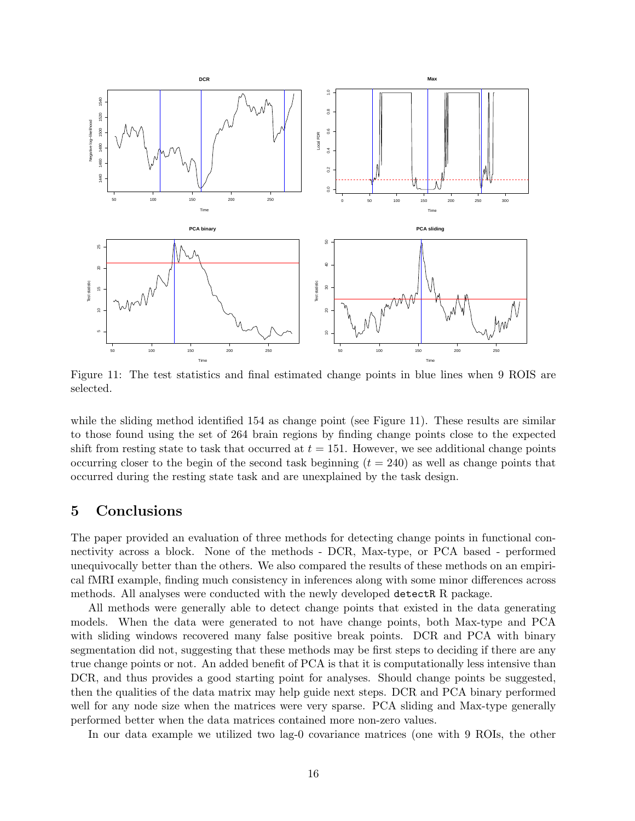

Figure 11: The test statistics and final estimated change points in blue lines when 9 ROIS are selected.

while the sliding method identified 154 as change point (see Figure 11). These results are similar to those found using the set of 264 brain regions by finding change points close to the expected shift from resting state to task that occurred at  $t = 151$ . However, we see additional change points occurring closer to the begin of the second task beginning  $(t = 240)$  as well as change points that occurred during the resting state task and are unexplained by the task design.

# 5 Conclusions

The paper provided an evaluation of three methods for detecting change points in functional connectivity across a block. None of the methods - DCR, Max-type, or PCA based - performed unequivocally better than the others. We also compared the results of these methods on an empirical fMRI example, finding much consistency in inferences along with some minor differences across methods. All analyses were conducted with the newly developed detectR R package.

All methods were generally able to detect change points that existed in the data generating models. When the data were generated to not have change points, both Max-type and PCA with sliding windows recovered many false positive break points. DCR and PCA with binary segmentation did not, suggesting that these methods may be first steps to deciding if there are any true change points or not. An added benefit of PCA is that it is computationally less intensive than DCR, and thus provides a good starting point for analyses. Should change points be suggested, then the qualities of the data matrix may help guide next steps. DCR and PCA binary performed well for any node size when the matrices were very sparse. PCA sliding and Max-type generally performed better when the data matrices contained more non-zero values.

In our data example we utilized two lag-0 covariance matrices (one with 9 ROIs, the other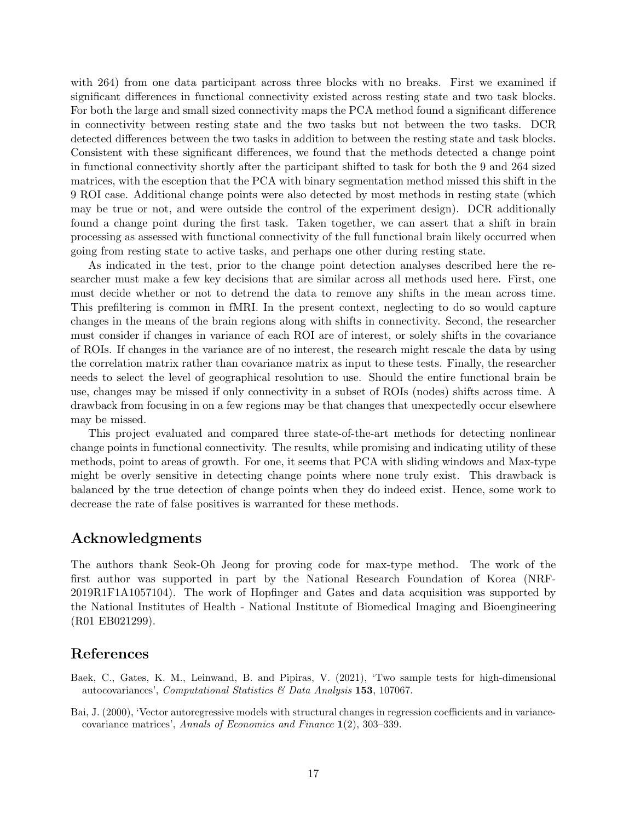with 264) from one data participant across three blocks with no breaks. First we examined if significant differences in functional connectivity existed across resting state and two task blocks. For both the large and small sized connectivity maps the PCA method found a significant difference in connectivity between resting state and the two tasks but not between the two tasks. DCR detected differences between the two tasks in addition to between the resting state and task blocks. Consistent with these significant differences, we found that the methods detected a change point in functional connectivity shortly after the participant shifted to task for both the 9 and 264 sized matrices, with the esception that the PCA with binary segmentation method missed this shift in the 9 ROI case. Additional change points were also detected by most methods in resting state (which may be true or not, and were outside the control of the experiment design). DCR additionally found a change point during the first task. Taken together, we can assert that a shift in brain processing as assessed with functional connectivity of the full functional brain likely occurred when going from resting state to active tasks, and perhaps one other during resting state.

As indicated in the test, prior to the change point detection analyses described here the researcher must make a few key decisions that are similar across all methods used here. First, one must decide whether or not to detrend the data to remove any shifts in the mean across time. This prefiltering is common in fMRI. In the present context, neglecting to do so would capture changes in the means of the brain regions along with shifts in connectivity. Second, the researcher must consider if changes in variance of each ROI are of interest, or solely shifts in the covariance of ROIs. If changes in the variance are of no interest, the research might rescale the data by using the correlation matrix rather than covariance matrix as input to these tests. Finally, the researcher needs to select the level of geographical resolution to use. Should the entire functional brain be use, changes may be missed if only connectivity in a subset of ROIs (nodes) shifts across time. A drawback from focusing in on a few regions may be that changes that unexpectedly occur elsewhere may be missed.

This project evaluated and compared three state-of-the-art methods for detecting nonlinear change points in functional connectivity. The results, while promising and indicating utility of these methods, point to areas of growth. For one, it seems that PCA with sliding windows and Max-type might be overly sensitive in detecting change points where none truly exist. This drawback is balanced by the true detection of change points when they do indeed exist. Hence, some work to decrease the rate of false positives is warranted for these methods.

## Acknowledgments

The authors thank Seok-Oh Jeong for proving code for max-type method. The work of the first author was supported in part by the National Research Foundation of Korea (NRF-2019R1F1A1057104). The work of Hopfinger and Gates and data acquisition was supported by the National Institutes of Health - National Institute of Biomedical Imaging and Bioengineering (R01 EB021299).

## References

- Baek, C., Gates, K. M., Leinwand, B. and Pipiras, V. (2021), 'Two sample tests for high-dimensional autocovariances', Computational Statistics & Data Analysis 153, 107067.
- Bai, J. (2000), 'Vector autoregressive models with structural changes in regression coefficients and in variancecovariance matrices', Annals of Economics and Finance 1(2), 303–339.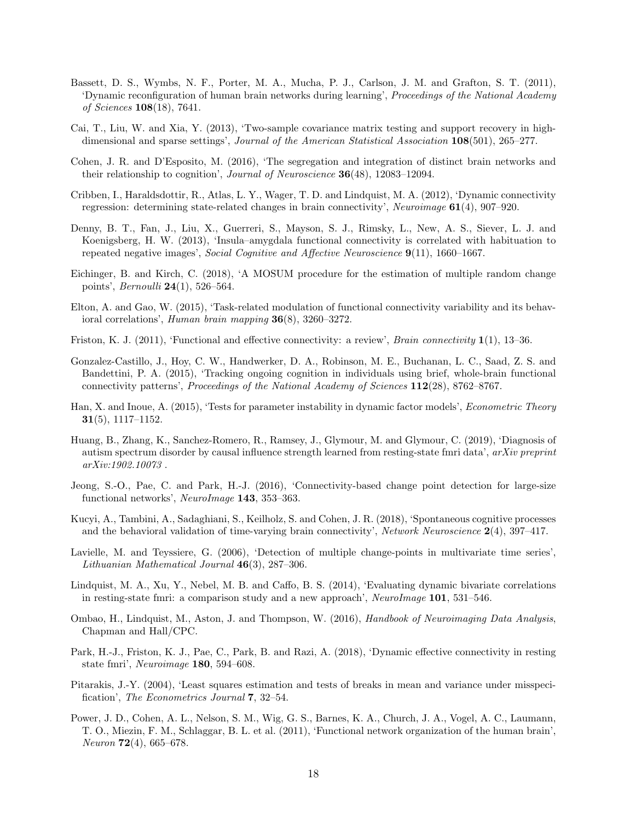- Bassett, D. S., Wymbs, N. F., Porter, M. A., Mucha, P. J., Carlson, J. M. and Grafton, S. T. (2011), 'Dynamic reconfiguration of human brain networks during learning', Proceedings of the National Academy of Sciences 108(18), 7641.
- Cai, T., Liu, W. and Xia, Y. (2013), 'Two-sample covariance matrix testing and support recovery in highdimensional and sparse settings', Journal of the American Statistical Association 108(501), 265–277.
- Cohen, J. R. and D'Esposito, M. (2016), 'The segregation and integration of distinct brain networks and their relationship to cognition', Journal of Neuroscience 36(48), 12083-12094.
- Cribben, I., Haraldsdottir, R., Atlas, L. Y., Wager, T. D. and Lindquist, M. A. (2012), 'Dynamic connectivity regression: determining state-related changes in brain connectivity', Neuroimage 61(4), 907–920.
- Denny, B. T., Fan, J., Liu, X., Guerreri, S., Mayson, S. J., Rimsky, L., New, A. S., Siever, L. J. and Koenigsberg, H. W. (2013), 'Insula–amygdala functional connectivity is correlated with habituation to repeated negative images', Social Cognitive and Affective Neuroscience 9(11), 1660–1667.
- Eichinger, B. and Kirch, C. (2018), 'A MOSUM procedure for the estimation of multiple random change points', Bernoulli 24(1), 526–564.
- Elton, A. and Gao, W. (2015), 'Task-related modulation of functional connectivity variability and its behavioral correlations', Human brain mapping 36(8), 3260–3272.
- Friston, K. J. (2011), 'Functional and effective connectivity: a review', *Brain connectivity* 1(1), 13–36.
- Gonzalez-Castillo, J., Hoy, C. W., Handwerker, D. A., Robinson, M. E., Buchanan, L. C., Saad, Z. S. and Bandettini, P. A. (2015), 'Tracking ongoing cognition in individuals using brief, whole-brain functional connectivity patterns', Proceedings of the National Academy of Sciences 112(28), 8762–8767.
- Han, X. and Inoue, A. (2015), 'Tests for parameter instability in dynamic factor models', *Econometric Theory*  $31(5)$ , 1117–1152.
- Huang, B., Zhang, K., Sanchez-Romero, R., Ramsey, J., Glymour, M. and Glymour, C. (2019), 'Diagnosis of autism spectrum disorder by causal influence strength learned from resting-state fmri data', arXiv preprint arXiv:1902.10073 .
- Jeong, S.-O., Pae, C. and Park, H.-J. (2016), 'Connectivity-based change point detection for large-size functional networks', NeuroImage 143, 353–363.
- Kucyi, A., Tambini, A., Sadaghiani, S., Keilholz, S. and Cohen, J. R. (2018), 'Spontaneous cognitive processes and the behavioral validation of time-varying brain connectivity', Network Neuroscience  $2(4)$ , 397–417.
- Lavielle, M. and Teyssiere, G. (2006), 'Detection of multiple change-points in multivariate time series', Lithuanian Mathematical Journal  $46(3)$ , 287-306.
- Lindquist, M. A., Xu, Y., Nebel, M. B. and Caffo, B. S. (2014), 'Evaluating dynamic bivariate correlations in resting-state fmri: a comparison study and a new approach', NeuroImage 101, 531–546.
- Ombao, H., Lindquist, M., Aston, J. and Thompson, W. (2016), Handbook of Neuroimaging Data Analysis, Chapman and Hall/CPC.
- Park, H.-J., Friston, K. J., Pae, C., Park, B. and Razi, A. (2018), 'Dynamic effective connectivity in resting state fmri', Neuroimage 180, 594–608.
- Pitarakis, J.-Y. (2004), 'Least squares estimation and tests of breaks in mean and variance under misspecification', The Econometrics Journal 7, 32–54.
- Power, J. D., Cohen, A. L., Nelson, S. M., Wig, G. S., Barnes, K. A., Church, J. A., Vogel, A. C., Laumann, T. O., Miezin, F. M., Schlaggar, B. L. et al. (2011), 'Functional network organization of the human brain', *Neuron* **72**(4), 665–678.